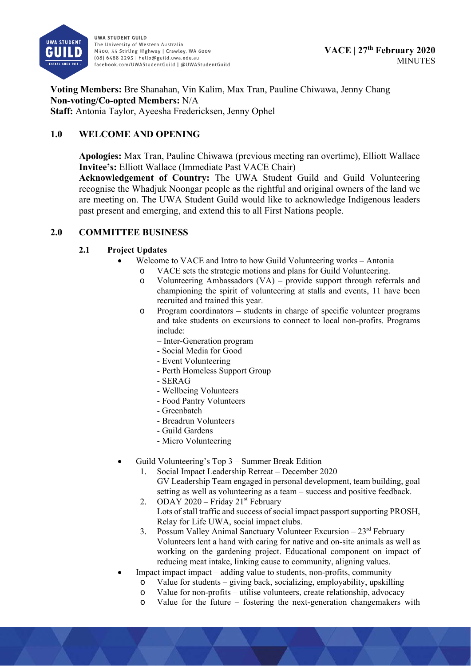

**Voting Members:** Bre Shanahan, Vin Kalim, Max Tran, Pauline Chiwawa, Jenny Chang **Non-voting/Co-opted Members:** N/A **Staff:** Antonia Taylor, Ayeesha Fredericksen, Jenny Ophel

# **1.0 WELCOME AND OPENING**

**Apologies:** Max Tran, Pauline Chiwawa (previous meeting ran overtime), Elliott Wallace **Invitee's:** Elliott Wallace (Immediate Past VACE Chair)

**Acknowledgement of Country:** The UWA Student Guild and Guild Volunteering recognise the Whadjuk Noongar people as the rightful and original owners of the land we are meeting on. The UWA Student Guild would like to acknowledge Indigenous leaders past present and emerging, and extend this to all First Nations people.

# **2.0 COMMITTEE BUSINESS**

## **2.1 Project Updates**

- Welcome to VACE and Intro to how Guild Volunteering works Antonia
	- o VACE sets the strategic motions and plans for Guild Volunteering.
		- o Volunteering Ambassadors (VA) provide support through referrals and championing the spirit of volunteering at stalls and events, 11 have been recruited and trained this year.
		- o Program coordinators students in charge of specific volunteer programs and take students on excursions to connect to local non-profits. Programs include:
			- Inter-Generation program
			- Social Media for Good
			- Event Volunteering
			- Perth Homeless Support Group
			- SERAG
			- Wellbeing Volunteers
			- Food Pantry Volunteers
			- Greenbatch
			- Breadrun Volunteers
			- Guild Gardens
			- Micro Volunteering
- Guild Volunteering's Top 3 Summer Break Edition
	- 1. Social Impact Leadership Retreat December 2020 GV Leadership Team engaged in personal development, team building, goal setting as well as volunteering as a team – success and positive feedback.
	- 2. ODAY 2020 Friday  $21<sup>st</sup>$  February Lots of stall traffic and success of social impact passport supporting PROSH, Relay for Life UWA, social impact clubs.
	- 3. Possum Valley Animal Sanctuary Volunteer Excursion  $-23<sup>rd</sup>$  February Volunteers lent a hand with caring for native and on-site animals as well as working on the gardening project. Educational component on impact of reducing meat intake, linking cause to community, aligning values.
- Impact impact impact adding value to students, non-profits, community
	- o Value for students giving back, socializing, employability, upskilling
	- o Value for non-profits utilise volunteers, create relationship, advocacy
	- o Value for the future fostering the next-generation changemakers with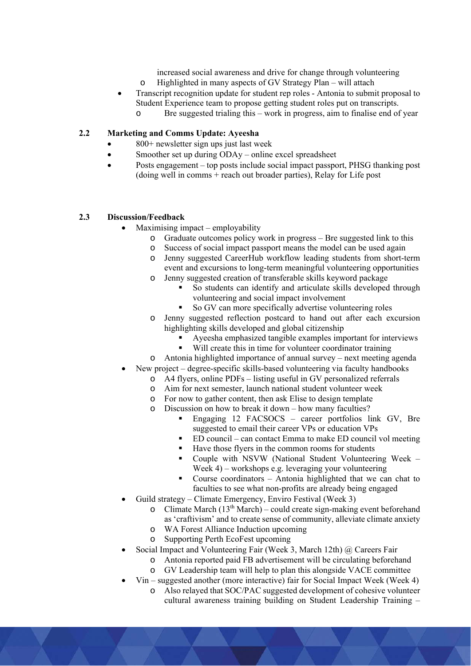increased social awareness and drive for change through volunteering o Highlighted in many aspects of GV Strategy Plan – will attach

- Transcript recognition update for student rep roles Antonia to submit proposal to Student Experience team to propose getting student roles put on transcripts.
	- o Bre suggested trialing this work in progress, aim to finalise end of year

## **2.2 Marketing and Comms Update: Ayeesha**

- 800+ newsletter sign ups just last week
- Smoother set up during ODAy online excel spreadsheet
- Posts engagement top posts include social impact passport, PHSG thanking post (doing well in comms + reach out broader parties), Relay for Life post

### **2.3 Discussion/Feedback**

- Maximising impact employability
	- o Graduate outcomes policy work in progress Bre suggested link to this
	- o Success of social impact passport means the model can be used again
	- o Jenny suggested CareerHub workflow leading students from short-term event and excursions to long-term meaningful volunteering opportunities
	- o Jenny suggested creation of transferable skills keyword package
		- So students can identify and articulate skills developed through volunteering and social impact involvement
			- So GV can more specifically advertise volunteering roles
	- o Jenny suggested reflection postcard to hand out after each excursion highlighting skills developed and global citizenship
		- Ayeesha emphasized tangible examples important for interviews
		- Will create this in time for volunteer coordinator training
	- o Antonia highlighted importance of annual survey next meeting agenda
- New project degree-specific skills-based volunteering via faculty handbooks
	- o A4 flyers, online PDFs listing useful in GV personalized referrals
	- o Aim for next semester, launch national student volunteer week
	- o For now to gather content, then ask Elise to design template
	- o Discussion on how to break it down how many faculties?
		- Engaging 12 FACSOCS career portfolios link GV, Bre suggested to email their career VPs or education VPs
		- ED council can contact Emma to make ED council vol meeting
		- Have those flyers in the common rooms for students
		- Couple with NSVW (National Student Volunteering Week Week 4) – workshops e.g. leveraging your volunteering
		- Course coordinators Antonia highlighted that we can chat to faculties to see what non-profits are already being engaged
- Guild strategy Climate Emergency, Enviro Festival (Week 3)
	- o Climate March  $(13<sup>th</sup> March)$  could create sign-making event beforehand as 'craftivism' and to create sense of community, alleviate climate anxiety
	- o WA Forest Alliance Induction upcoming
	- o Supporting Perth EcoFest upcoming
- Social Impact and Volunteering Fair (Week 3, March 12th) @ Careers Fair
	- o Antonia reported paid FB advertisement will be circulating beforehand
	- o GV Leadership team will help to plan this alongside VACE committee
- Vin suggested another (more interactive) fair for Social Impact Week (Week 4)
	- o Also relayed that SOC/PAC suggested development of cohesive volunteer cultural awareness training building on Student Leadership Training –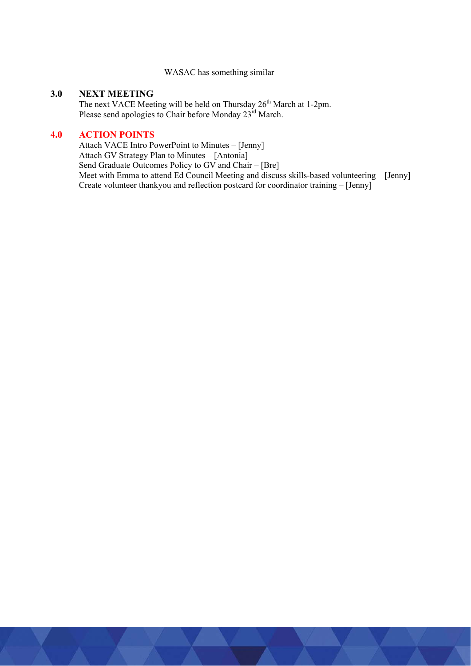#### WASAC has something similar

### **3.0 NEXT MEETING**

The next VACE Meeting will be held on Thursday 26<sup>th</sup> March at 1-2pm. Please send apologies to Chair before Monday 23<sup>rd</sup> March.

## **4.0 ACTION POINTS**

Attach VACE Intro PowerPoint to Minutes – [Jenny] Attach GV Strategy Plan to Minutes – [Antonia] Send Graduate Outcomes Policy to GV and Chair – [Bre] Meet with Emma to attend Ed Council Meeting and discuss skills-based volunteering – [Jenny] Create volunteer thankyou and reflection postcard for coordinator training – [Jenny]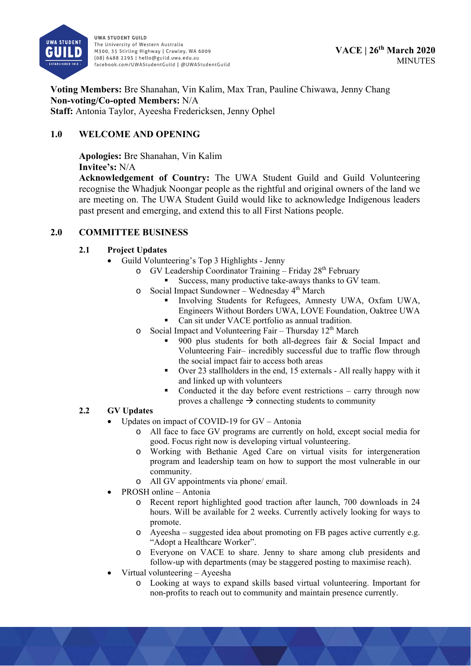

**Voting Members:** Bre Shanahan, Vin Kalim, Max Tran, Pauline Chiwawa, Jenny Chang **Non-voting/Co-opted Members:** N/A **Staff:** Antonia Taylor, Ayeesha Fredericksen, Jenny Ophel

# **1.0 WELCOME AND OPENING**

**Apologies:** Bre Shanahan, Vin Kalim

**Invitee's:** N/A

**Acknowledgement of Country:** The UWA Student Guild and Guild Volunteering recognise the Whadjuk Noongar people as the rightful and original owners of the land we are meeting on. The UWA Student Guild would like to acknowledge Indigenous leaders past present and emerging, and extend this to all First Nations people.

# **2.0 COMMITTEE BUSINESS**

# **2.1 Project Updates**

- Guild Volunteering's Top 3 Highlights Jenny
	- o GV Leadership Coordinator Training Friday 28<sup>th</sup> February
		- Success, many productive take-aways thanks to GV team.
	- $\circ$  Social Impact Sundowner Wednesday 4<sup>th</sup> March
		- Involving Students for Refugees, Amnesty UWA, Oxfam UWA, Engineers Without Borders UWA, LOVE Foundation, Oaktree UWA
		- Can sit under VACE portfolio as annual tradition.
	- o Social Impact and Volunteering Fair Thursday 12<sup>th</sup> March
		- 900 plus students for both all-degrees fair & Social Impact and Volunteering Fair– incredibly successful due to traffic flow through the social impact fair to access both areas
		- Over 23 stallholders in the end, 15 externals All really happy with it and linked up with volunteers
		- Conducted it the day before event restrictions carry through now proves a challenge  $\rightarrow$  connecting students to community

# **2.2 GV Updates**

- Updates on impact of COVID-19 for GV Antonia
	- o All face to face GV programs are currently on hold, except social media for good. Focus right now is developing virtual volunteering.
	- o Working with Bethanie Aged Care on virtual visits for intergeneration program and leadership team on how to support the most vulnerable in our community.
	- o All GV appointments via phone/ email.
- PROSH online Antonia
	- o Recent report highlighted good traction after launch, 700 downloads in 24 hours. Will be available for 2 weeks. Currently actively looking for ways to promote.
	- o Ayeesha suggested idea about promoting on FB pages active currently e.g. "Adopt a Healthcare Worker".
	- o Everyone on VACE to share. Jenny to share among club presidents and follow-up with departments (may be staggered posting to maximise reach).
- Virtual volunteering Ayeesha
	- o Looking at ways to expand skills based virtual volunteering. Important for non-profits to reach out to community and maintain presence currently.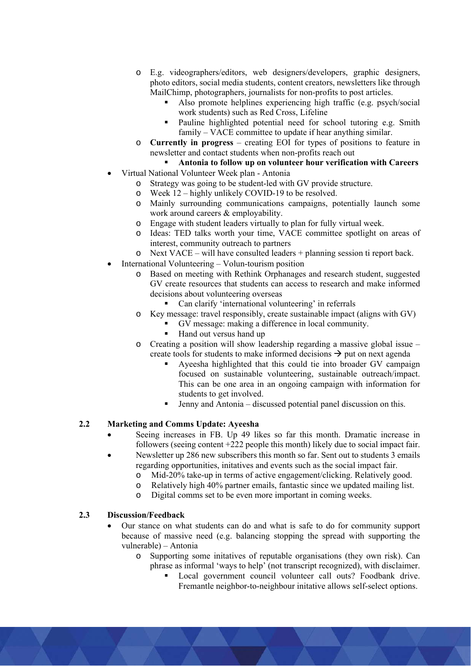- o E.g. videographers/editors, web designers/developers, graphic designers, photo editors, social media students, content creators, newsletters like through MailChimp, photographers, journalists for non-profits to post articles.
	- Also promote helplines experiencing high traffic (e.g. psych/social work students) such as Red Cross, Lifeline
	- **Pauline highlighted potential need for school tutoring e.g. Smith** family – VACE committee to update if hear anything similar.
- o **Currently in progress** creating EOI for types of positions to feature in newsletter and contact students when non-profits reach out

# **Antonia to follow up on volunteer hour verification with Careers**

- Virtual National Volunteer Week plan Antonia
	- o Strategy was going to be student-led with GV provide structure.
	- o Week 12 highly unlikely COVID-19 to be resolved.
	- o Mainly surrounding communications campaigns, potentially launch some work around careers & employability.
	- o Engage with student leaders virtually to plan for fully virtual week.
	- o Ideas: TED talks worth your time, VACE committee spotlight on areas of interest, community outreach to partners
	- o Next VACE will have consulted leaders + planning session ti report back.
- International Volunteering Volun-tourism position
	- o Based on meeting with Rethink Orphanages and research student, suggested GV create resources that students can access to research and make informed decisions about volunteering overseas
		- Can clarify 'international volunteering' in referrals
	- o Key message: travel responsibly, create sustainable impact (aligns with GV)
		- GV message: making a difference in local community.
		- Hand out versus hand up
	- $\circ$  Creating a position will show leadership regarding a massive global issue create tools for students to make informed decisions  $\rightarrow$  put on next agenda
		- Ayeesha highlighted that this could tie into broader GV campaign focused on sustainable volunteering, sustainable outreach/impact. This can be one area in an ongoing campaign with information for students to get involved.
		- Jenny and Antonia discussed potential panel discussion on this.

### **2.2 Marketing and Comms Update: Ayeesha**

- Seeing increases in FB. Up 49 likes so far this month. Dramatic increase in followers (seeing content +222 people this month) likely due to social impact fair.
- Newsletter up 286 new subscribers this month so far. Sent out to students 3 emails regarding opportunities, initatives and events such as the social impact fair.
	- o Mid-20% take-up in terms of active engagement/clicking. Relatively good.
	- o Relatively high 40% partner emails, fantastic since we updated mailing list.
	- o Digital comms set to be even more important in coming weeks.

### **2.3 Discussion/Feedback**

- Our stance on what students can do and what is safe to do for community support because of massive need (e.g. balancing stopping the spread with supporting the vulnerable) – Antonia
	- o Supporting some initatives of reputable organisations (they own risk). Can phrase as informal 'ways to help' (not transcript recognized), with disclaimer.
		- Local government council volunteer call outs? Foodbank drive. Fremantle neighbor-to-neighbour initative allows self-select options.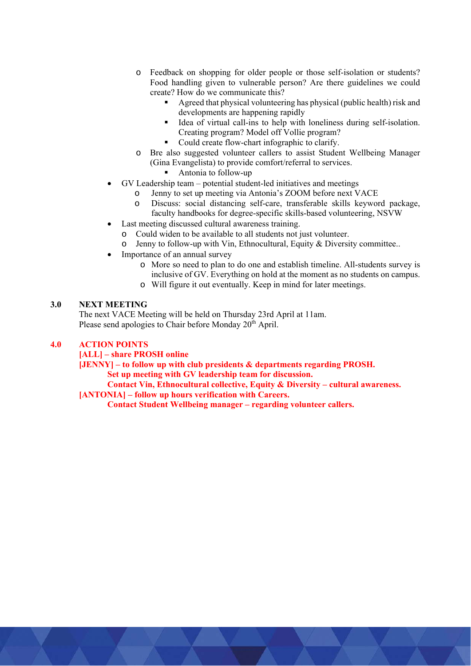- o Feedback on shopping for older people or those self-isolation or students? Food handling given to vulnerable person? Are there guidelines we could create? How do we communicate this?
	- Agreed that physical volunteering has physical (public health) risk and developments are happening rapidly
	- Idea of virtual call-ins to help with loneliness during self-isolation. Creating program? Model off Vollie program?
	- Could create flow-chart infographic to clarify.
- o Bre also suggested volunteer callers to assist Student Wellbeing Manager (Gina Evangelista) to provide comfort/referral to services.
	- Antonia to follow-up
- GV Leadership team potential student-led initiatives and meetings
	- o Jenny to set up meeting via Antonia's ZOOM before next VACE
	- o Discuss: social distancing self-care, transferable skills keyword package, faculty handbooks for degree-specific skills-based volunteering, NSVW
- Last meeting discussed cultural awareness training.
	- o Could widen to be available to all students not just volunteer.
	- o Jenny to follow-up with Vin, Ethnocultural, Equity & Diversity committee..
- Importance of an annual survey
	- o More so need to plan to do one and establish timeline. All-students survey is inclusive of GV. Everything on hold at the moment as no students on campus.
	- o Will figure it out eventually. Keep in mind for later meetings.

### **3.0 NEXT MEETING**

The next VACE Meeting will be held on Thursday 23rd April at 11am. Please send apologies to Chair before Monday  $20<sup>th</sup>$  April.

### **4.0 ACTION POINTS**

**[ALL] – share PROSH online** 

**[JENNY] – to follow up with club presidents & departments regarding PROSH.** 

 **Set up meeting with GV leadership team for discussion.** 

 **Contact Vin, Ethnocultural collective, Equity & Diversity – cultural awareness.** 

**[ANTONIA] – follow up hours verification with Careers.** 

 **Contact Student Wellbeing manager – regarding volunteer callers.**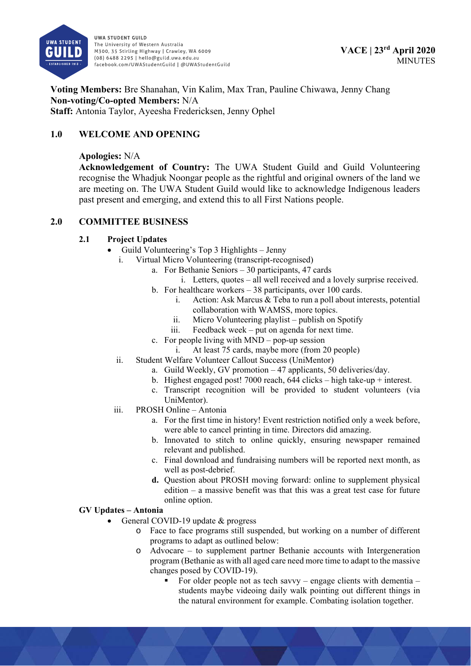

**Voting Members:** Bre Shanahan, Vin Kalim, Max Tran, Pauline Chiwawa, Jenny Chang **Non-voting/Co-opted Members:** N/A **Staff:** Antonia Taylor, Ayeesha Fredericksen, Jenny Ophel

# **1.0 WELCOME AND OPENING**

### **Apologies:** N/A

**Acknowledgement of Country:** The UWA Student Guild and Guild Volunteering recognise the Whadjuk Noongar people as the rightful and original owners of the land we are meeting on. The UWA Student Guild would like to acknowledge Indigenous leaders past present and emerging, and extend this to all First Nations people.

### **2.0 COMMITTEE BUSINESS**

### **2.1 Project Updates**

- Guild Volunteering's Top 3 Highlights Jenny
	- i. Virtual Micro Volunteering (transcript-recognised)
		- a. For Bethanie Seniors 30 participants, 47 cards
			- i. Letters, quotes all well received and a lovely surprise received.
		- b. For healthcare workers 38 participants, over 100 cards.
			- i. Action: Ask Marcus & Teba to run a poll about interests, potential collaboration with WAMSS, more topics.
			- ii. Micro Volunteering playlist publish on Spotify
			- iii. Feedback week put on agenda for next time.
		- c. For people living with MND pop-up session
			- i. At least 75 cards, maybe more (from 20 people)
	- ii. Student Welfare Volunteer Callout Success (UniMentor)
		- a. Guild Weekly, GV promotion 47 applicants, 50 deliveries/day.
		- b. Highest engaged post! 7000 reach,  $644$  clicks high take-up + interest.
		- c. Transcript recognition will be provided to student volunteers (via UniMentor).
	- iii. PROSH Online Antonia
		- a. For the first time in history! Event restriction notified only a week before, were able to cancel printing in time. Directors did amazing.
		- b. Innovated to stitch to online quickly, ensuring newspaper remained relevant and published.
		- c. Final download and fundraising numbers will be reported next month, as well as post-debrief.
		- **d.** Question about PROSH moving forward: online to supplement physical edition – a massive benefit was that this was a great test case for future online option.

## **GV Updates – Antonia**

- General COVID-19 update & progress
	- o Face to face programs still suspended, but working on a number of different programs to adapt as outlined below:
	- $\circ$  Advocare to supplement partner Bethanie accounts with Intergeneration program (Bethanie as with all aged care need more time to adapt to the massive changes posed by COVID-19).
		- For older people not as tech savvy engage clients with dementia students maybe videoing daily walk pointing out different things in the natural environment for example. Combating isolation together.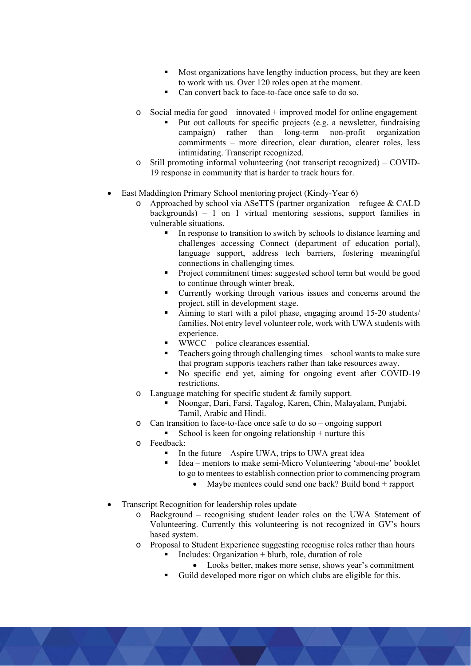- Most organizations have lengthy induction process, but they are keen to work with us. Over 120 roles open at the moment.
- Can convert back to face-to-face once safe to do so.
- Social media for good innovated  $+$  improved model for online engagement
	- Put out callouts for specific projects (e.g. a newsletter, fundraising campaign) rather than long-term non-profit organization commitments – more direction, clear duration, clearer roles, less intimidating. Transcript recognized.
- o Still promoting informal volunteering (not transcript recognized) COVID-19 response in community that is harder to track hours for.
- East Maddington Primary School mentoring project (Kindy-Year 6)
	- o Approached by school via ASeTTS (partner organization refugee & CALD backgrounds) – 1 on 1 virtual mentoring sessions, support families in vulnerable situations.
		- In response to transition to switch by schools to distance learning and challenges accessing Connect (department of education portal), language support, address tech barriers, fostering meaningful connections in challenging times.
		- Project commitment times: suggested school term but would be good to continue through winter break.
		- Currently working through various issues and concerns around the project, still in development stage.
		- Aiming to start with a pilot phase, engaging around 15-20 students/ families. Not entry level volunteer role, work with UWA students with experience.
		- WWCC + police clearances essential.
		- Teachers going through challenging times school wants to make sure that program supports teachers rather than take resources away.
		- No specific end yet, aiming for ongoing event after COVID-19 restrictions.
	- o Language matching for specific student & family support.
		- Noongar, Dari, Farsi, Tagalog, Karen, Chin, Malayalam, Punjabi, Tamil, Arabic and Hindi.
	- o Can transition to face-to-face once safe to do so ongoing support
		- School is keen for ongoing relationship + nurture this
	- o Feedback:
		- In the future Aspire UWA, trips to UWA great idea
		- Idea mentors to make semi-Micro Volunteering 'about-me' booklet to go to mentees to establish connection prior to commencing program
			- Maybe mentees could send one back? Build bond + rapport
- Transcript Recognition for leadership roles update
	- o Background recognising student leader roles on the UWA Statement of Volunteering. Currently this volunteering is not recognized in GV's hours based system.
	- o Proposal to Student Experience suggesting recognise roles rather than hours
		- Includes: Organization  $+$  blurb, role, duration of role
		- Looks better, makes more sense, shows year's commitment
		- Guild developed more rigor on which clubs are eligible for this.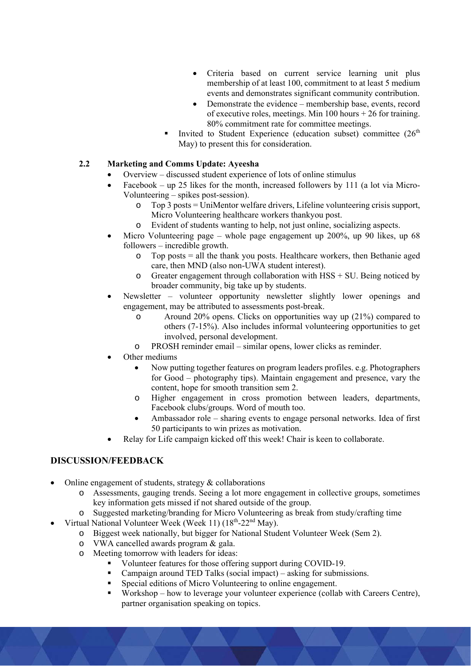- Criteria based on current service learning unit plus membership of at least 100, commitment to at least 5 medium events and demonstrates significant community contribution.
- Demonstrate the evidence membership base, events, record of executive roles, meetings. Min 100 hours + 26 for training. 80% commitment rate for committee meetings.
- Invited to Student Experience (education subset) committee  $(26<sup>th</sup>$ May) to present this for consideration.

## **2.2 Marketing and Comms Update: Ayeesha**

- Overview discussed student experience of lots of online stimulus
- Facebook up 25 likes for the month, increased followers by 111 (a lot via Micro-Volunteering – spikes post-session).
	- o Top 3 posts = UniMentor welfare drivers, Lifeline volunteering crisis support, Micro Volunteering healthcare workers thankyou post.
	- o Evident of students wanting to help, not just online, socializing aspects.
- Micro Volunteering page whole page engagement up 200%, up 90 likes, up 68 followers – incredible growth.
	- o Top posts = all the thank you posts. Healthcare workers, then Bethanie aged care, then MND (also non-UWA student interest).
	- $\circ$  Greater engagement through collaboration with HSS + SU. Being noticed by broader community, big take up by students.
- Newsletter volunteer opportunity newsletter slightly lower openings and engagement, may be attributed to assessments post-break.
	- o Around 20% opens. Clicks on opportunities way up (21%) compared to others (7-15%). Also includes informal volunteering opportunities to get involved, personal development.
	- o PROSH reminder email similar opens, lower clicks as reminder.
	- Other mediums
		- Now putting together features on program leaders profiles. e.g. Photographers for Good – photography tips). Maintain engagement and presence, vary the content, hope for smooth transition sem 2.
		- o Higher engagement in cross promotion between leaders, departments, Facebook clubs/groups. Word of mouth too.
		- Ambassador role sharing events to engage personal networks. Idea of first 50 participants to win prizes as motivation.
- Relay for Life campaign kicked off this week! Chair is keen to collaborate.

# **DISCUSSION/FEEDBACK**

Online engagement of students, strategy & collaborations

- o Assessments, gauging trends. Seeing a lot more engagement in collective groups, sometimes key information gets missed if not shared outside of the group.
- o Suggested marketing/branding for Micro Volunteering as break from study/crafting time
- Virtual National Volunteer Week (Week 11) (18<sup>th</sup>-22<sup>nd</sup> May).
	- o Biggest week nationally, but bigger for National Student Volunteer Week (Sem 2).
	- o VWA cancelled awards program & gala.
	- o Meeting tomorrow with leaders for ideas:
		- Volunteer features for those offering support during COVID-19.
		- Campaign around TED Talks (social impact) asking for submissions.
		- Special editions of Micro Volunteering to online engagement.
		- Workshop how to leverage your volunteer experience (collab with Careers Centre), partner organisation speaking on topics.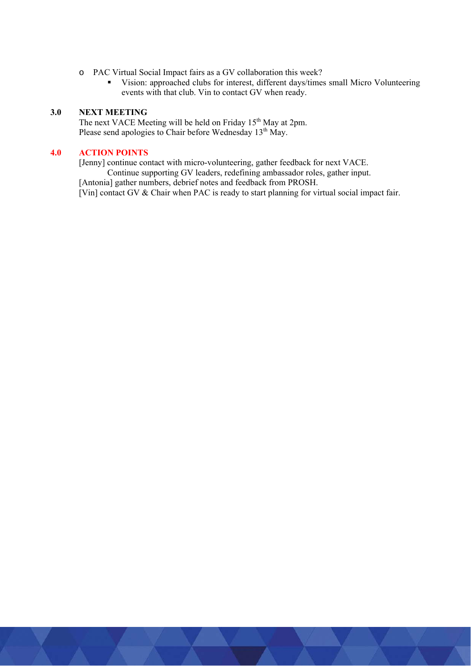- o PAC Virtual Social Impact fairs as a GV collaboration this week?
	- Vision: approached clubs for interest, different days/times small Micro Volunteering events with that club. Vin to contact GV when ready.

### **3.0 NEXT MEETING**

The next VACE Meeting will be held on Friday 15<sup>th</sup> May at 2pm. Please send apologies to Chair before Wednesday 13<sup>th</sup> May.

## **4.0 ACTION POINTS**

[Jenny] continue contact with micro-volunteering, gather feedback for next VACE.

Continue supporting GV leaders, redefining ambassador roles, gather input.

[Antonia] gather numbers, debrief notes and feedback from PROSH.

[Vin] contact GV & Chair when PAC is ready to start planning for virtual social impact fair.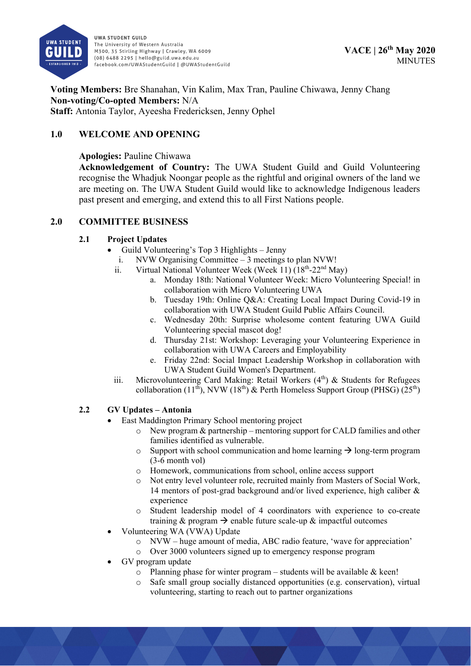

**Voting Members:** Bre Shanahan, Vin Kalim, Max Tran, Pauline Chiwawa, Jenny Chang **Non-voting/Co-opted Members:** N/A **Staff:** Antonia Taylor, Ayeesha Fredericksen, Jenny Ophel

# **1.0 WELCOME AND OPENING**

**Apologies:** Pauline Chiwawa

**Acknowledgement of Country:** The UWA Student Guild and Guild Volunteering recognise the Whadjuk Noongar people as the rightful and original owners of the land we are meeting on. The UWA Student Guild would like to acknowledge Indigenous leaders past present and emerging, and extend this to all First Nations people.

## **2.0 COMMITTEE BUSINESS**

## **2.1 Project Updates**

- Guild Volunteering's Top 3 Highlights Jenny
	- i. NVW Organising Committee 3 meetings to plan NVW!
	- ii. Virtual National Volunteer Week (Week 11)  $(18<sup>th</sup>-22<sup>nd</sup>$  May)
		- a. Monday 18th: National Volunteer Week: Micro Volunteering Special! in collaboration with Micro Volunteering UWA
		- b. Tuesday 19th: Online Q&A: Creating Local Impact During Covid-19 in collaboration with UWA Student Guild Public Affairs Council.
		- c. Wednesday 20th: Surprise wholesome content featuring UWA Guild Volunteering special mascot dog!
		- d. Thursday 21st: Workshop: Leveraging your Volunteering Experience in collaboration with UWA Careers and Employability
		- e. Friday 22nd: Social Impact Leadership Workshop in collaboration with UWA Student Guild Women's Department.
	- iii. Microvolunteering Card Making: Retail Workers  $(4<sup>th</sup>)$  & Students for Refugees collaboration (11<sup>th</sup>), NVW (18<sup>th</sup>) & Perth Homeless Support Group (PHSG) (25<sup>th</sup>)

# **2.2 GV Updates – Antonia**

- East Maddington Primary School mentoring project
	- $\circ$  New program & partnership mentoring support for CALD families and other families identified as vulnerable.
	- $\circ$  Support with school communication and home learning  $\rightarrow$  long-term program (3-6 month vol)
	- o Homework, communications from school, online access support
	- o Not entry level volunteer role, recruited mainly from Masters of Social Work, 14 mentors of post-grad background and/or lived experience, high caliber & experience
	- o Student leadership model of 4 coordinators with experience to co-create training & program  $\rightarrow$  enable future scale-up & impactful outcomes
- Volunteering WA (VWA) Update
	- o NVW huge amount of media, ABC radio feature, 'wave for appreciation'
	- o Over 3000 volunteers signed up to emergency response program
- GV program update
	- $\circ$  Planning phase for winter program students will be available & keen!
	- o Safe small group socially distanced opportunities (e.g. conservation), virtual volunteering, starting to reach out to partner organizations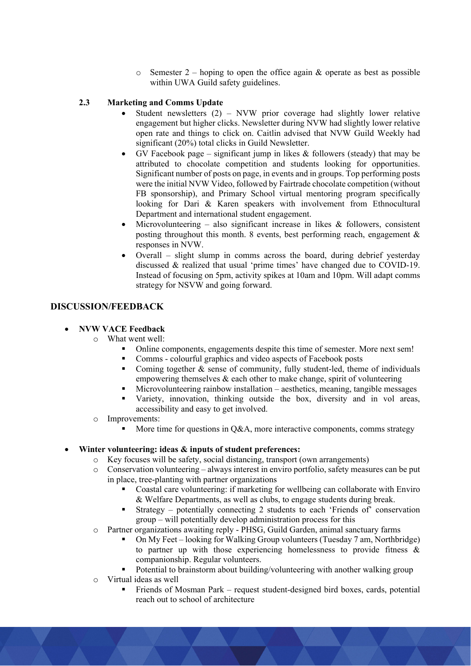$\circ$  Semester 2 – hoping to open the office again & operate as best as possible within UWA Guild safety guidelines.

### **2.3 Marketing and Comms Update**

- Student newsletters (2) NVW prior coverage had slightly lower relative engagement but higher clicks. Newsletter during NVW had slightly lower relative open rate and things to click on. Caitlin advised that NVW Guild Weekly had significant (20%) total clicks in Guild Newsletter.
- GV Facebook page significant jump in likes  $&$  followers (steady) that may be attributed to chocolate competition and students looking for opportunities. Significant number of posts on page, in events and in groups. Top performing posts were the initial NVW Video, followed by Fairtrade chocolate competition (without FB sponsorship), and Primary School virtual mentoring program specifically looking for Dari & Karen speakers with involvement from Ethnocultural Department and international student engagement.
- Microvolunteering also significant increase in likes  $\&$  followers, consistent posting throughout this month. 8 events, best performing reach, engagement & responses in NVW.
- Overall slight slump in comms across the board, during debrief yesterday discussed & realized that usual 'prime times' have changed due to COVID-19. Instead of focusing on 5pm, activity spikes at 10am and 10pm. Will adapt comms strategy for NSVW and going forward.

### **DISCUSSION/FEEDBACK**

### **NVW VACE Feedback**

- o What went well:
	- Online components, engagements despite this time of semester. More next sem!
	- **Comms** colourful graphics and video aspects of Facebook posts
	- Coming together  $\&$  sense of community, fully student-led, theme of individuals empowering themselves  $\&$  each other to make change, spirit of volunteering
	- Microvolunteering rainbow installation aesthetics, meaning, tangible messages
	- Variety, innovation, thinking outside the box, diversity and in vol areas, accessibility and easy to get involved.
- o Improvements:
	- More time for questions in Q&A, more interactive components, comms strategy

### **Winter volunteering: ideas & inputs of student preferences:**

- o Key focuses will be safety, social distancing, transport (own arrangements)
- o Conservation volunteering always interest in enviro portfolio, safety measures can be put in place, tree-planting with partner organizations
	- Coastal care volunteering: if marketing for wellbeing can collaborate with Enviro & Welfare Departments, as well as clubs, to engage students during break.
	- Strategy potentially connecting 2 students to each 'Friends of' conservation group – will potentially develop administration process for this
- o Partner organizations awaiting reply PHSG, Guild Garden, animal sanctuary farms
	- On My Feet looking for Walking Group volunteers (Tuesday 7 am, Northbridge) to partner up with those experiencing homelessness to provide fitness  $\&$ companionship. Regular volunteers.
	- Potential to brainstorm about building/volunteering with another walking group
- o Virtual ideas as well
	- Friends of Mosman Park request student-designed bird boxes, cards, potential reach out to school of architecture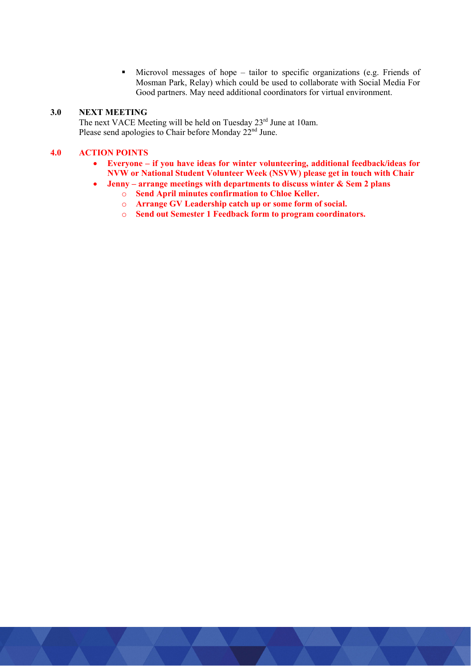Microvol messages of hope – tailor to specific organizations (e.g. Friends of Mosman Park, Relay) which could be used to collaborate with Social Media For Good partners. May need additional coordinators for virtual environment.

### **3.0 NEXT MEETING**

The next VACE Meeting will be held on Tuesday 23<sup>rd</sup> June at 10am. Please send apologies to Chair before Monday 22<sup>nd</sup> June.

### **4.0 ACTION POINTS**

- **Everyone if you have ideas for winter volunteering, additional feedback/ideas for NVW or National Student Volunteer Week (NSVW) please get in touch with Chair**
- **Jenny arrange meetings with departments to discuss winter & Sem 2 plans** 
	- o **Send April minutes confirmation to Chloe Keller.**
	- o **Arrange GV Leadership catch up or some form of social.**
	- o **Send out Semester 1 Feedback form to program coordinators.**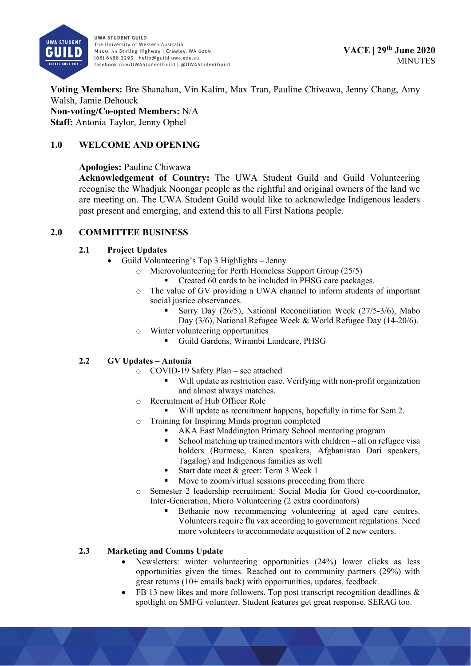

**Voting Members:** Bre Shanahan, Vin Kalim, Max Tran, Pauline Chiwawa, Jenny Chang, Amy Walsh, Jamie Dehouck **Non-voting/Co-opted Members:** N/A **Staff:** Antonia Taylor, Jenny Ophel

# **1.0 WELCOME AND OPENING**

## **Apologies:** Pauline Chiwawa

**Acknowledgement of Country:** The UWA Student Guild and Guild Volunteering recognise the Whadjuk Noongar people as the rightful and original owners of the land we are meeting on. The UWA Student Guild would like to acknowledge Indigenous leaders past present and emerging, and extend this to all First Nations people.

## **2.0 COMMITTEE BUSINESS**

## **2.1 Project Updates**

- Guild Volunteering's Top 3 Highlights Jenny
	- o Microvolunteering for Perth Homeless Support Group (25/5)
		- Created 60 cards to be included in PHSG care packages.
	- o The value of GV providing a UWA channel to inform students of important social justice observances.
		- Sorry Day (26/5), National Reconciliation Week (27/5-3/6), Mabo Day (3/6), National Refugee Week & World Refugee Day (14-20/6).
	- o Winter volunteering opportunities
		- Guild Gardens, Wirambi Landcare, PHSG

## **2.2 GV Updates – Antonia**

- o COVID-19 Safety Plan see attached
	- Will update as restriction ease. Verifying with non-profit organization and almost always matches.
- o Recruitment of Hub Officer Role
	- Will update as recruitment happens, hopefully in time for Sem 2.
- o Training for Inspiring Minds program completed
	- AKA East Maddington Primary School mentoring program
	- School matching up trained mentors with children all on refugee visa holders (Burmese, Karen speakers, Afghanistan Dari speakers, Tagalog) and Indigenous families as well
	- Start date meet & greet: Term 3 Week 1
	- Move to zoom/virtual sessions proceeding from there
- o Semester 2 leadership recruitment: Social Media for Good co-coordinator, Inter-Generation, Micro Volunteering (2 extra coordinators)
	- Bethanie now recommencing volunteering at aged care centres. Volunteers require flu vax according to government regulations. Need more volunteers to accommodate acquisition of 2 new centers.

## **2.3 Marketing and Comms Update**

- Newsletters: winter volunteering opportunities (24%) lower clicks as less opportunities given the times. Reached out to community partners (29%) with great returns (10+ emails back) with opportunities, updates, feedback.
- FB 13 new likes and more followers. Top post transcript recognition deadlines & spotlight on SMFG volunteer. Student features get great response. SERAG too.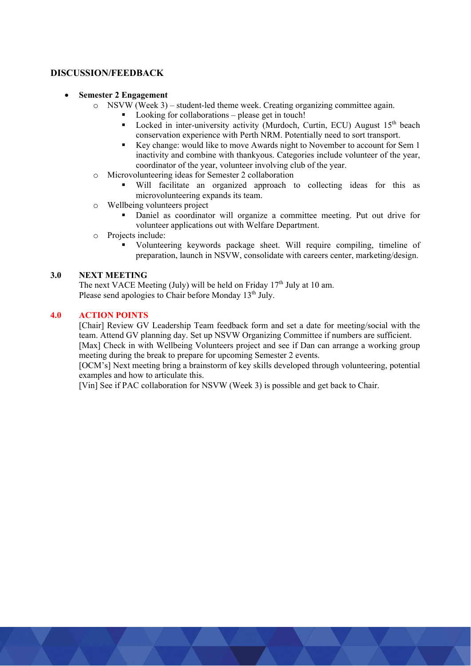### **DISCUSSION/FEEDBACK**

- **Semester 2 Engagement** 
	- o NSVW (Week 3) student-led theme week. Creating organizing committee again.
		- Looking for collaborations please get in touch!
		- Locked in inter-university activity (Murdoch, Curtin, ECU) August 15<sup>th</sup> beach conservation experience with Perth NRM. Potentially need to sort transport.
		- Key change: would like to move Awards night to November to account for Sem 1 inactivity and combine with thankyous. Categories include volunteer of the year, coordinator of the year, volunteer involving club of the year.
	- o Microvolunteering ideas for Semester 2 collaboration
		- Will facilitate an organized approach to collecting ideas for this as microvolunteering expands its team.
	- o Wellbeing volunteers project
		- Daniel as coordinator will organize a committee meeting. Put out drive for volunteer applications out with Welfare Department.
	- o Projects include:
		- Volunteering keywords package sheet. Will require compiling, timeline of preparation, launch in NSVW, consolidate with careers center, marketing/design.

## **3.0 NEXT MEETING**

The next VACE Meeting (July) will be held on Friday  $17<sup>th</sup>$  July at 10 am. Please send apologies to Chair before Monday 13<sup>th</sup> July.

### **4.0 ACTION POINTS**

[Chair] Review GV Leadership Team feedback form and set a date for meeting/social with the team. Attend GV planning day. Set up NSVW Organizing Committee if numbers are sufficient.

[Max] Check in with Wellbeing Volunteers project and see if Dan can arrange a working group meeting during the break to prepare for upcoming Semester 2 events.

[OCM's] Next meeting bring a brainstorm of key skills developed through volunteering, potential examples and how to articulate this.

[Vin] See if PAC collaboration for NSVW (Week 3) is possible and get back to Chair.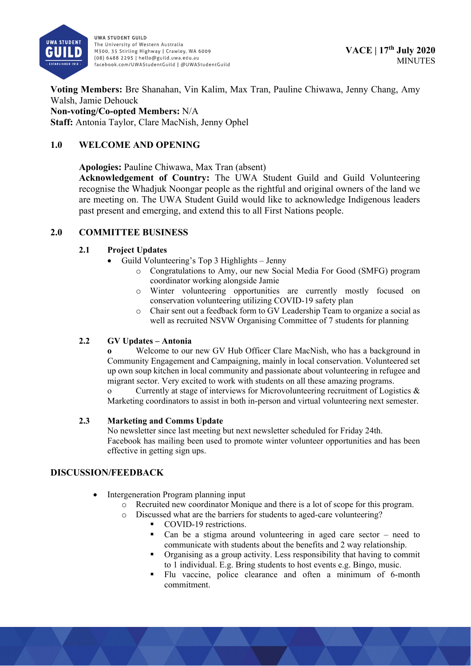

**Voting Members:** Bre Shanahan, Vin Kalim, Max Tran, Pauline Chiwawa, Jenny Chang, Amy Walsh, Jamie Dehouck **Non-voting/Co-opted Members:** N/A **Staff:** Antonia Taylor, Clare MacNish, Jenny Ophel

# **1.0 WELCOME AND OPENING**

**Apologies:** Pauline Chiwawa, Max Tran (absent)

**Acknowledgement of Country:** The UWA Student Guild and Guild Volunteering recognise the Whadjuk Noongar people as the rightful and original owners of the land we are meeting on. The UWA Student Guild would like to acknowledge Indigenous leaders past present and emerging, and extend this to all First Nations people.

# **2.0 COMMITTEE BUSINESS**

# **2.1 Project Updates**

- Guild Volunteering's Top 3 Highlights Jenny
	- o Congratulations to Amy, our new Social Media For Good (SMFG) program coordinator working alongside Jamie
	- o Winter volunteering opportunities are currently mostly focused on conservation volunteering utilizing COVID-19 safety plan
	- o Chair sent out a feedback form to GV Leadership Team to organize a social as well as recruited NSVW Organising Committee of 7 students for planning

# **2.2 GV Updates – Antonia**

**o** Welcome to our new GV Hub Officer Clare MacNish, who has a background in Community Engagement and Campaigning, mainly in local conservation. Volunteered set up own soup kitchen in local community and passionate about volunteering in refugee and migrant sector. Very excited to work with students on all these amazing programs.

o Currently at stage of interviews for Microvolunteering recruitment of Logistics & Marketing coordinators to assist in both in-person and virtual volunteering next semester.

## **2.3 Marketing and Comms Update**

No newsletter since last meeting but next newsletter scheduled for Friday 24th. Facebook has mailing been used to promote winter volunteer opportunities and has been effective in getting sign ups.

# **DISCUSSION/FEEDBACK**

- Intergeneration Program planning input
	- o Recruited new coordinator Monique and there is a lot of scope for this program.
	- o Discussed what are the barriers for students to aged-care volunteering?
		- COVID-19 restrictions.
		- Can be a stigma around volunteering in aged care sector need to communicate with students about the benefits and 2 way relationship.
		- Organising as a group activity. Less responsibility that having to commit to 1 individual. E.g. Bring students to host events e.g. Bingo, music.
		- Flu vaccine, police clearance and often a minimum of 6-month commitment.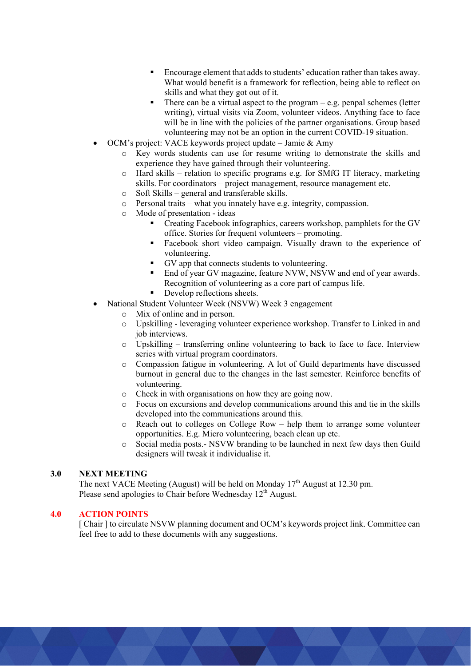- Encourage element that adds to students' education rather than takes away. What would benefit is a framework for reflection, being able to reflect on skills and what they got out of it.
- There can be a virtual aspect to the program e.g. penpal schemes (letter writing), virtual visits via Zoom, volunteer videos. Anything face to face will be in line with the policies of the partner organisations. Group based volunteering may not be an option in the current COVID-19 situation.
- OCM's project: VACE keywords project update Jamie & Amy
	- o Key words students can use for resume writing to demonstrate the skills and experience they have gained through their volunteering.
	- $\circ$  Hard skills relation to specific programs e.g. for SMfG IT literacy, marketing skills. For coordinators – project management, resource management etc.
	- o Soft Skills general and transferable skills.
	- o Personal traits what you innately have e.g. integrity, compassion.
	- o Mode of presentation ideas
		- Creating Facebook infographics, careers workshop, pamphlets for the GV office. Stories for frequent volunteers – promoting.
		- Facebook short video campaign. Visually drawn to the experience of volunteering.
		- GV app that connects students to volunteering.
		- End of year GV magazine, feature NVW, NSVW and end of year awards. Recognition of volunteering as a core part of campus life.
		- Develop reflections sheets.
	- National Student Volunteer Week (NSVW) Week 3 engagement
		- o Mix of online and in person.
			- o Upskilling leveraging volunteer experience workshop. Transfer to Linked in and job interviews.
			- o Upskilling transferring online volunteering to back to face to face. Interview series with virtual program coordinators.
			- o Compassion fatigue in volunteering. A lot of Guild departments have discussed burnout in general due to the changes in the last semester. Reinforce benefits of volunteering.
			- o Check in with organisations on how they are going now.
			- o Focus on excursions and develop communications around this and tie in the skills developed into the communications around this.
			- o Reach out to colleges on College Row help them to arrange some volunteer opportunities. E.g. Micro volunteering, beach clean up etc.
			- o Social media posts.- NSVW branding to be launched in next few days then Guild designers will tweak it individualise it.

### **3.0 NEXT MEETING**

The next VACE Meeting (August) will be held on Monday  $17<sup>th</sup>$  August at 12.30 pm. Please send apologies to Chair before Wednesday 12<sup>th</sup> August.

### **4.0 ACTION POINTS**

[ Chair ] to circulate NSVW planning document and OCM's keywords project link. Committee can feel free to add to these documents with any suggestions.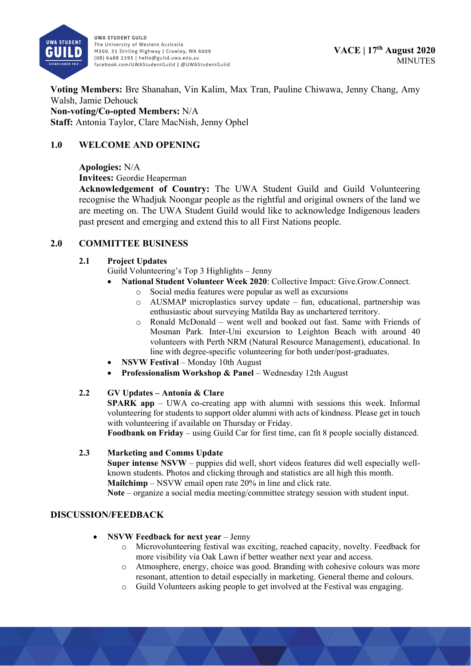

**Voting Members:** Bre Shanahan, Vin Kalim, Max Tran, Pauline Chiwawa, Jenny Chang, Amy Walsh, Jamie Dehouck **Non-voting/Co-opted Members:** N/A **Staff:** Antonia Taylor, Clare MacNish, Jenny Ophel

# **1.0 WELCOME AND OPENING**

## **Apologies:** N/A

**Invitees:** Geordie Heaperman

**Acknowledgement of Country:** The UWA Student Guild and Guild Volunteering recognise the Whadjuk Noongar people as the rightful and original owners of the land we are meeting on. The UWA Student Guild would like to acknowledge Indigenous leaders past present and emerging and extend this to all First Nations people.

# **2.0 COMMITTEE BUSINESS**

## **2.1 Project Updates**

Guild Volunteering's Top 3 Highlights – Jenny

- **National Student Volunteer Week 2020**: Collective Impact: Give.Grow.Connect.
	- o Social media features were popular as well as excursions
	- o AUSMAP microplastics survey update fun, educational, partnership was enthusiastic about surveying Matilda Bay as unchartered territory.
	- $\circ$  Ronald McDonald went well and booked out fast. Same with Friends of Mosman Park. Inter-Uni excursion to Leighton Beach with around 40 volunteers with Perth NRM (Natural Resource Management), educational. In line with degree-specific volunteering for both under/post-graduates.
- **NSVW Festival** Monday 10th August
- **Professionalism Workshop & Panel** Wednesday 12th August

## **2.2 GV Updates – Antonia & Clare**

**SPARK app** – UWA co-creating app with alumni with sessions this week. Informal volunteering for students to support older alumni with acts of kindness. Please get in touch with volunteering if available on Thursday or Friday.

**Foodbank on Friday** – using Guild Car for first time, can fit 8 people socially distanced.

## **2.3 Marketing and Comms Update**

**Super intense NSVW** – puppies did well, short videos features did well especially wellknown students. Photos and clicking through and statistics are all high this month. **Mailchimp** – NSVW email open rate 20% in line and click rate.

**Note** – organize a social media meeting/committee strategy session with student input.

## **DISCUSSION/FEEDBACK**

- **NSVW Feedback for next year** Jenny
	- o Microvolunteering festival was exciting, reached capacity, novelty. Feedback for more visibility via Oak Lawn if better weather next year and access.
	- o Atmosphere, energy, choice was good. Branding with cohesive colours was more resonant, attention to detail especially in marketing. General theme and colours.
	- o Guild Volunteers asking people to get involved at the Festival was engaging.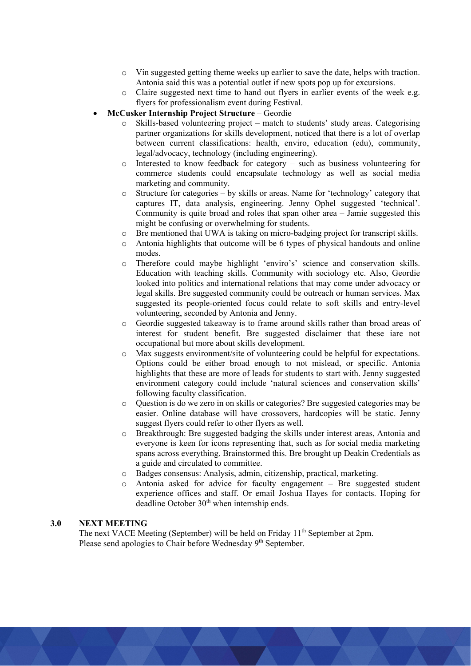- o Vin suggested getting theme weeks up earlier to save the date, helps with traction. Antonia said this was a potential outlet if new spots pop up for excursions.
- o Claire suggested next time to hand out flyers in earlier events of the week e.g. flyers for professionalism event during Festival.
- **McCusker Internship Project Structure** Geordie
	- o Skills-based volunteering project match to students' study areas. Categorising partner organizations for skills development, noticed that there is a lot of overlap between current classifications: health, enviro, education (edu), community, legal/advocacy, technology (including engineering).
	- o Interested to know feedback for category such as business volunteering for commerce students could encapsulate technology as well as social media marketing and community.
	- o Structure for categories by skills or areas. Name for 'technology' category that captures IT, data analysis, engineering. Jenny Ophel suggested 'technical'. Community is quite broad and roles that span other area – Jamie suggested this might be confusing or overwhelming for students.
	- o Bre mentioned that UWA is taking on micro-badging project for transcript skills.
	- $\circ$  Antonia highlights that outcome will be 6 types of physical handouts and online modes.
	- o Therefore could maybe highlight 'enviro's' science and conservation skills. Education with teaching skills. Community with sociology etc. Also, Geordie looked into politics and international relations that may come under advocacy or legal skills. Bre suggested community could be outreach or human services. Max suggested its people-oriented focus could relate to soft skills and entry-level volunteering, seconded by Antonia and Jenny.
	- o Geordie suggested takeaway is to frame around skills rather than broad areas of interest for student benefit. Bre suggested disclaimer that these iare not occupational but more about skills development.
	- o Max suggests environment/site of volunteering could be helpful for expectations. Options could be either broad enough to not mislead, or specific. Antonia highlights that these are more of leads for students to start with. Jenny suggested environment category could include 'natural sciences and conservation skills' following faculty classification.
	- $\circ$  Question is do we zero in on skills or categories? Bre suggested categories may be easier. Online database will have crossovers, hardcopies will be static. Jenny suggest flyers could refer to other flyers as well.
	- o Breakthrough: Bre suggested badging the skills under interest areas, Antonia and everyone is keen for icons representing that, such as for social media marketing spans across everything. Brainstormed this. Bre brought up Deakin Credentials as a guide and circulated to committee.
	- o Badges consensus: Analysis, admin, citizenship, practical, marketing.
	- o Antonia asked for advice for faculty engagement Bre suggested student experience offices and staff. Or email Joshua Hayes for contacts. Hoping for deadline October 30<sup>th</sup> when internship ends.

### **3.0 NEXT MEETING**

The next VACE Meeting (September) will be held on Friday 11<sup>th</sup> September at 2pm. Please send apologies to Chair before Wednesday 9<sup>th</sup> September.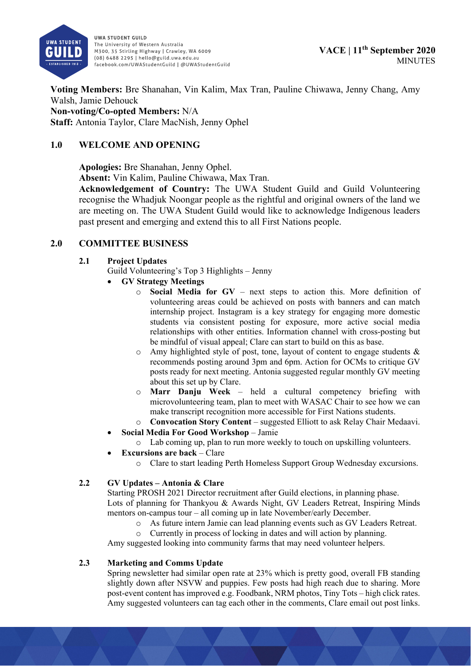

**Voting Members:** Bre Shanahan, Vin Kalim, Max Tran, Pauline Chiwawa, Jenny Chang, Amy Walsh, Jamie Dehouck **Non-voting/Co-opted Members:** N/A **Staff:** Antonia Taylor, Clare MacNish, Jenny Ophel

# **1.0 WELCOME AND OPENING**

**Apologies:** Bre Shanahan, Jenny Ophel.

**Absent:** Vin Kalim, Pauline Chiwawa, Max Tran.

**Acknowledgement of Country:** The UWA Student Guild and Guild Volunteering recognise the Whadjuk Noongar people as the rightful and original owners of the land we are meeting on. The UWA Student Guild would like to acknowledge Indigenous leaders past present and emerging and extend this to all First Nations people.

## **2.0 COMMITTEE BUSINESS**

### **2.1 Project Updates**

Guild Volunteering's Top 3 Highlights – Jenny

- **GV Strategy Meetings**
	- o **Social Media for GV** next steps to action this. More definition of volunteering areas could be achieved on posts with banners and can match internship project. Instagram is a key strategy for engaging more domestic students via consistent posting for exposure, more active social media relationships with other entities. Information channel with cross-posting but be mindful of visual appeal; Clare can start to build on this as base.
	- o Amy highlighted style of post, tone, layout of content to engage students & recommends posting around 3pm and 6pm. Action for OCMs to critique GV posts ready for next meeting. Antonia suggested regular monthly GV meeting about this set up by Clare.
	- o **Marr Danju Week**  held a cultural competency briefing with microvolunteering team, plan to meet with WASAC Chair to see how we can make transcript recognition more accessible for First Nations students.
	- o **Convocation Story Content** suggested Elliott to ask Relay Chair Medaavi.
- **Social Media For Good Workshop**  Jamie
	- o Lab coming up, plan to run more weekly to touch on upskilling volunteers.
- **Excursions are back** Clare
	- o Clare to start leading Perth Homeless Support Group Wednesday excursions.

## **2.2 GV Updates – Antonia & Clare**

Starting PROSH 2021 Director recruitment after Guild elections, in planning phase. Lots of planning for Thankyou & Awards Night, GV Leaders Retreat, Inspiring Minds mentors on-campus tour – all coming up in late November/early December.

- o As future intern Jamie can lead planning events such as GV Leaders Retreat.
- o Currently in process of locking in dates and will action by planning.

Amy suggested looking into community farms that may need volunteer helpers.

### **2.3 Marketing and Comms Update**

Spring newsletter had similar open rate at 23% which is pretty good, overall FB standing slightly down after NSVW and puppies. Few posts had high reach due to sharing. More post-event content has improved e.g. Foodbank, NRM photos, Tiny Tots – high click rates. Amy suggested volunteers can tag each other in the comments, Clare email out post links.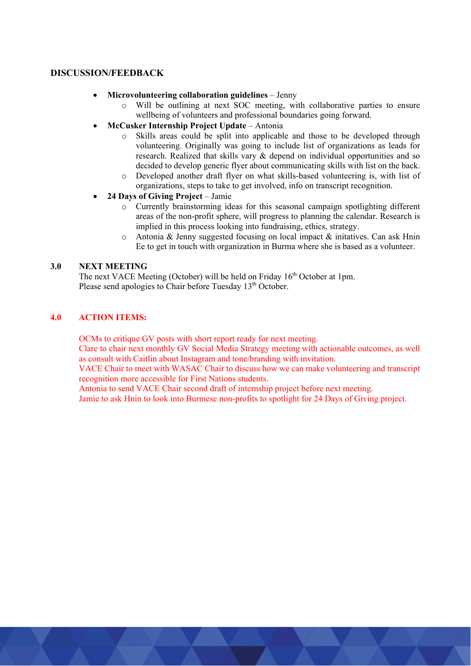### **DISCUSSION/FEEDBACK**

- **Microvolunteering collaboration guidelines**  Jenny
	- o Will be outlining at next SOC meeting, with collaborative parties to ensure wellbeing of volunteers and professional boundaries going forward.
- **McCusker Internship Project Update** Antonia
	- o Skills areas could be split into applicable and those to be developed through volunteering. Originally was going to include list of organizations as leads for research. Realized that skills vary & depend on individual opportunities and so decided to develop generic flyer about communicating skills with list on the back.
	- o Developed another draft flyer on what skills-based volunteering is, with list of organizations, steps to take to get involved, info on transcript recognition.
- **24 Days of Giving Project** Jamie
	- o Currently brainstorming ideas for this seasonal campaign spotlighting different areas of the non-profit sphere, will progress to planning the calendar. Research is implied in this process looking into fundraising, ethics, strategy.
	- $\circ$  Antonia & Jenny suggested focusing on local impact & initatives. Can ask Hnin Ee to get in touch with organization in Burma where she is based as a volunteer.

#### **3.0 NEXT MEETING**

The next VACE Meeting (October) will be held on Friday  $16<sup>th</sup>$  October at 1pm. Please send apologies to Chair before Tuesday 13<sup>th</sup> October.

### **4.0 ACTION ITEMS:**

OCMs to critique GV posts with short report ready for next meeting.

Clare to chair next monthly GV Social Media Strategy meeting with actionable outcomes, as well as consult with Caitlin about Instagram and tone/branding with invitation.

VACE Chair to meet with WASAC Chair to discuss how we can make volunteering and transcript recognition more accessible for First Nations students.

Antonia to send VACE Chair second draft of internship project before next meeting.

Jamie to ask Hnin to look into Burmese non-profits to spotlight for 24 Days of Giving project.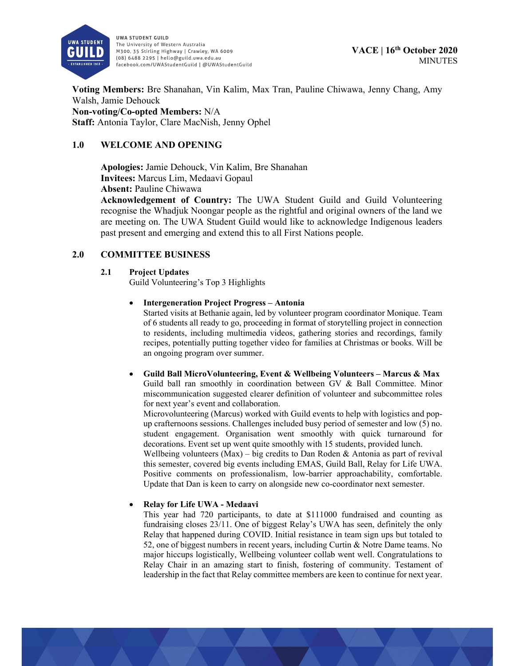

**Voting Members:** Bre Shanahan, Vin Kalim, Max Tran, Pauline Chiwawa, Jenny Chang, Amy Walsh, Jamie Dehouck **Non-voting/Co-opted Members:** N/A **Staff:** Antonia Taylor, Clare MacNish, Jenny Ophel

## **1.0 WELCOME AND OPENING**

**Apologies:** Jamie Dehouck, Vin Kalim, Bre Shanahan **Invitees:** Marcus Lim, Medaavi Gopaul **Absent:** Pauline Chiwawa

**Acknowledgement of Country:** The UWA Student Guild and Guild Volunteering recognise the Whadjuk Noongar people as the rightful and original owners of the land we are meeting on. The UWA Student Guild would like to acknowledge Indigenous leaders past present and emerging and extend this to all First Nations people.

### **2.0 COMMITTEE BUSINESS**

#### **2.1 Project Updates**

Guild Volunteering's Top 3 Highlights

#### **Intergeneration Project Progress – Antonia**

Started visits at Bethanie again, led by volunteer program coordinator Monique. Team of 6 students all ready to go, proceeding in format of storytelling project in connection to residents, including multimedia videos, gathering stories and recordings, family recipes, potentially putting together video for families at Christmas or books. Will be an ongoing program over summer.

 **Guild Ball MicroVolunteering, Event & Wellbeing Volunteers – Marcus & Max**  Guild ball ran smoothly in coordination between GV & Ball Committee. Minor miscommunication suggested clearer definition of volunteer and subcommittee roles for next year's event and collaboration.

Microvolunteering (Marcus) worked with Guild events to help with logistics and popup crafternoons sessions. Challenges included busy period of semester and low (5) no. student engagement. Organisation went smoothly with quick turnaround for decorations. Event set up went quite smoothly with 15 students, provided lunch. Wellbeing volunteers (Max) – big credits to Dan Roden  $\&$  Antonia as part of revival this semester, covered big events including EMAS, Guild Ball, Relay for Life UWA. Positive comments on professionalism, low-barrier approachability, comfortable. Update that Dan is keen to carry on alongside new co-coordinator next semester.

#### **Relay for Life UWA - Medaavi**

This year had 720 participants, to date at \$111000 fundraised and counting as fundraising closes 23/11. One of biggest Relay's UWA has seen, definitely the only Relay that happened during COVID. Initial resistance in team sign ups but totaled to 52, one of biggest numbers in recent years, including Curtin & Notre Dame teams. No major hiccups logistically, Wellbeing volunteer collab went well. Congratulations to Relay Chair in an amazing start to finish, fostering of community. Testament of leadership in the fact that Relay committee members are keen to continue for next year.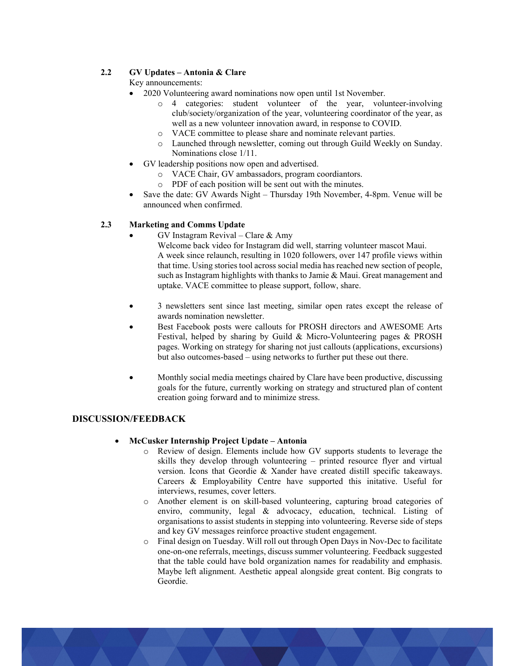### **2.2 GV Updates – Antonia & Clare**

Key announcements:

- 2020 Volunteering award nominations now open until 1st November.
	- o 4 categories: student volunteer of the year, volunteer-involving club/society/organization of the year, volunteering coordinator of the year, as well as a new volunteer innovation award, in response to COVID.
	- o VACE committee to please share and nominate relevant parties.
	- o Launched through newsletter, coming out through Guild Weekly on Sunday. Nominations close 1/11.
- GV leadership positions now open and advertised.
	- o VACE Chair, GV ambassadors, program coordiantors.
	- o PDF of each position will be sent out with the minutes.
- Save the date: GV Awards Night Thursday 19th November, 4-8pm. Venue will be announced when confirmed.

### **2.3 Marketing and Comms Update**

GV Instagram Revival – Clare & Amy

Welcome back video for Instagram did well, starring volunteer mascot Maui. A week since relaunch, resulting in 1020 followers, over 147 profile views within that time. Using stories tool across social media has reached new section of people, such as Instagram highlights with thanks to Jamie & Maui. Great management and uptake. VACE committee to please support, follow, share.

- 3 newsletters sent since last meeting, similar open rates except the release of awards nomination newsletter.
- Best Facebook posts were callouts for PROSH directors and AWESOME Arts Festival, helped by sharing by Guild & Micro-Volunteering pages & PROSH pages. Working on strategy for sharing not just callouts (applications, excursions) but also outcomes-based – using networks to further put these out there.
- Monthly social media meetings chaired by Clare have been productive, discussing goals for the future, currently working on strategy and structured plan of content creation going forward and to minimize stress.

### **DISCUSSION/FEEDBACK**

### **McCusker Internship Project Update – Antonia**

- o Review of design. Elements include how GV supports students to leverage the skills they develop through volunteering – printed resource flyer and virtual version. Icons that Geordie & Xander have created distill specific takeaways. Careers & Employability Centre have supported this initative. Useful for interviews, resumes, cover letters.
- o Another element is on skill-based volunteering, capturing broad categories of enviro, community, legal & advocacy, education, technical. Listing of organisations to assist students in stepping into volunteering. Reverse side of steps and key GV messages reinforce proactive student engagement.
- o Final design on Tuesday. Will roll out through Open Days in Nov-Dec to facilitate one-on-one referrals, meetings, discuss summer volunteering. Feedback suggested that the table could have bold organization names for readability and emphasis. Maybe left alignment. Aesthetic appeal alongside great content. Big congrats to Geordie.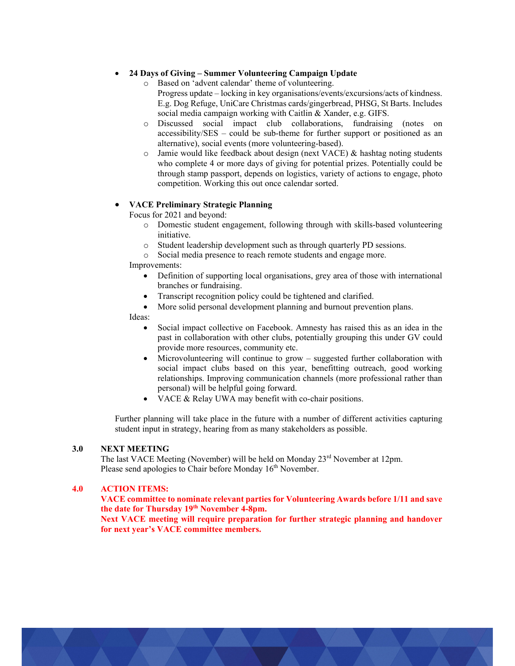#### **24 Days of Giving – Summer Volunteering Campaign Update**

- o Based on 'advent calendar' theme of volunteering.
	- Progress update locking in key organisations/events/excursions/acts of kindness. E.g. Dog Refuge, UniCare Christmas cards/gingerbread, PHSG, St Barts. Includes social media campaign working with Caitlin & Xander, e.g. GIFS.
- o Discussed social impact club collaborations, fundraising (notes on accessibility/SES – could be sub-theme for further support or positioned as an alternative), social events (more volunteering-based).
- $\circ$  Jamie would like feedback about design (next VACE) & hashtag noting students who complete 4 or more days of giving for potential prizes. Potentially could be through stamp passport, depends on logistics, variety of actions to engage, photo competition. Working this out once calendar sorted.

#### **VACE Preliminary Strategic Planning**

Focus for 2021 and beyond:

- o Domestic student engagement, following through with skills-based volunteering initiative.
- o Student leadership development such as through quarterly PD sessions.
- o Social media presence to reach remote students and engage more.

Improvements:

- Definition of supporting local organisations, grey area of those with international branches or fundraising.
- Transcript recognition policy could be tightened and clarified.
- More solid personal development planning and burnout prevention plans.

Ideas:

- Social impact collective on Facebook. Amnesty has raised this as an idea in the past in collaboration with other clubs, potentially grouping this under GV could provide more resources, community etc.
- Microvolunteering will continue to grow suggested further collaboration with social impact clubs based on this year, benefitting outreach, good working relationships. Improving communication channels (more professional rather than personal) will be helpful going forward.
- VACE & Relay UWA may benefit with co-chair positions.

Further planning will take place in the future with a number of different activities capturing student input in strategy, hearing from as many stakeholders as possible.

#### **3.0 NEXT MEETING**

The last VACE Meeting (November) will be held on Monday  $23<sup>rd</sup>$  November at 12pm. Please send apologies to Chair before Monday 16<sup>th</sup> November.

### **4.0 ACTION ITEMS:**

**VACE committee to nominate relevant parties for Volunteering Awards before 1/11 and save the date for Thursday 19th November 4-8pm.** 

**Next VACE meeting will require preparation for further strategic planning and handover for next year's VACE committee members.**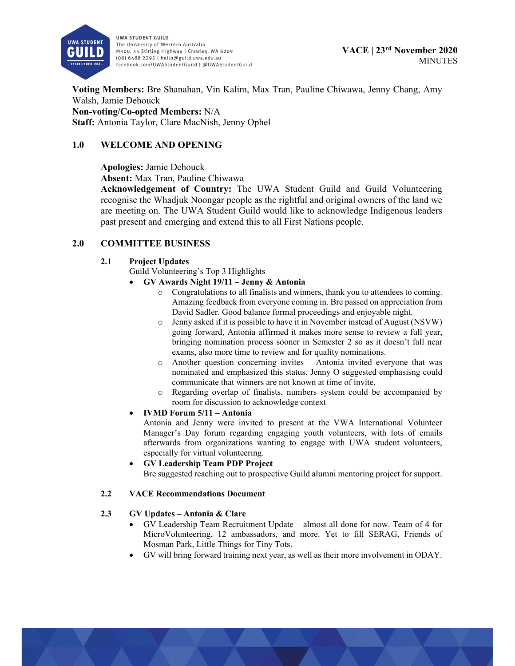

**Voting Members:** Bre Shanahan, Vin Kalim, Max Tran, Pauline Chiwawa, Jenny Chang, Amy Walsh, Jamie Dehouck **Non-voting/Co-opted Members:** N/A **Staff:** Antonia Taylor, Clare MacNish, Jenny Ophel

## **1.0 WELCOME AND OPENING**

### **Apologies:** Jamie Dehouck

**Absent:** Max Tran, Pauline Chiwawa

**Acknowledgement of Country:** The UWA Student Guild and Guild Volunteering recognise the Whadjuk Noongar people as the rightful and original owners of the land we are meeting on. The UWA Student Guild would like to acknowledge Indigenous leaders past present and emerging and extend this to all First Nations people.

## **2.0 COMMITTEE BUSINESS**

#### **2.1 Project Updates**

Guild Volunteering's Top 3 Highlights

#### **GV Awards Night 19/11 – Jenny & Antonia**

- o Congratulations to all finalists and winners, thank you to attendees to coming. Amazing feedback from everyone coming in. Bre passed on appreciation from David Sadler. Good balance formal proceedings and enjoyable night.
- o Jenny asked if it is possible to have it in November instead of August (NSVW) going forward, Antonia affirmed it makes more sense to review a full year, bringing nomination process sooner in Semester 2 so as it doesn't fall near exams, also more time to review and for quality nominations.
- o Another question concerning invites Antonia invited everyone that was nominated and emphasized this status. Jenny O suggested emphasisng could communicate that winners are not known at time of invite.
- o Regarding overlap of finalists, numbers system could be accompanied by room for discussion to acknowledge context

### **IVMD Forum 5/11 – Antonia**

Antonia and Jenny were invited to present at the VWA International Volunteer Manager's Day forum regarding engaging youth volunteers, with lots of emails afterwards from organizations wanting to engage with UWA student volunteers, especially for virtual volunteering.

 **GV Leadership Team PDP Project**  Bre suggested reaching out to prospective Guild alumni mentoring project for support.

#### **2.2 VACE Recommendations Document**

#### **2.3 GV Updates – Antonia & Clare**

- GV Leadership Team Recruitment Update almost all done for now. Team of 4 for MicroVolunteering, 12 ambassadors, and more. Yet to fill SERAG, Friends of Mosman Park, Little Things for Tiny Tots.
- GV will bring forward training next year, as well as their more involvement in ODAY.